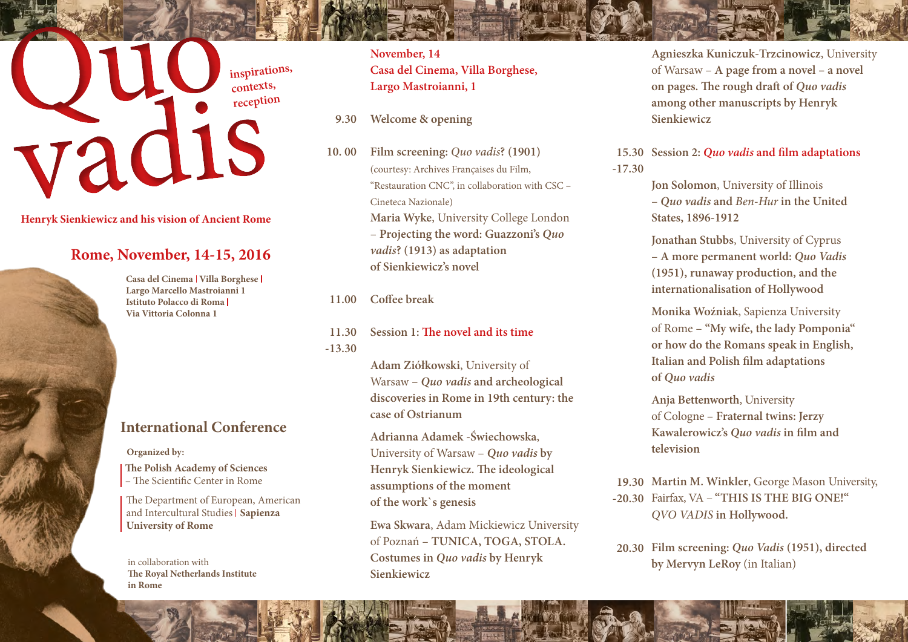## **inspirations, contexts, reception**

**Henryk Sienkiewicz and his vision of Ancient Rome**

## **Rome, November, 14-15, 2016**

**Casa del Cinema | Villa Borghese | Largo Marcello Mastroianni 1 Istituto Polacco di Roma Via Vittoria Colonna 1** 

## **International Conference**

**Organized by:**

**The Polish Academy of Sciences**  – The Scientific Center in Rome

The Department of European, American and Intercultural Studies **Sapienza University of Rome**

in collaboration with **The Royal Netherlands Institute in Rome**

**November, 14 Casa del Cinema, Villa Borghese, Largo Mastroianni, 1**

- **Welcome & opening 9.30**
- **Film screening:** *Quo vadis***? (1901)** (courtesy: Archives Françaises du Film, "Restauration CNC", in collaboration with CSC – Cineteca Nazionale) **Maria Wyke**, University College London – **Projecting the word: Guazzoni's** *Quo vadis***? (1913) as adaptation of Sienkiewicz's novel 10. 00**

**Coffee break 11.00**

**Session 1: The novel and its time 11.30 -13.30**

> **Adam Ziółkowski**, University of Warsaw – *Quo vadis* **and archeological discoveries in Rome in 19th century: the case of Ostrianum**

**Adrianna Adamek -Świechowska**, University of Warsaw – *Quo vadis* **by Henryk Sienkiewicz. The ideological assumptions of the moment of the work`s genesis** 

**Ewa Skwara**, Adam Mickiewicz University of Poznań – **TUNICA, TOGA, STOLA. Costumes in** *Quo vadis* **by Henryk Sienkiewicz**

**Agnieszka Kuniczuk-Trzcinowicz**, University of Warsaw – **A page from a novel – a novel on pages. The rough draft of** *Quo vadis* **among other manuscripts by Henryk Sienkiewicz**

**Session 2:** *Quo vadis* **and film adaptations 15.30 -17.30** 

> **Jon Solomon**, University of Illinois – *Quo vadis* **and** *Ben-Hur* **in the United States, 1896-1912**

**Jonathan Stubbs**, University of Cyprus – **A more permanent world:** *Quo Vadis* **(1951), runaway production, and the internationalisation of Hollywood**

**Monika Woźniak**, Sapienza University of Rome – **"My wife, the lady Pomponia" or how do the Romans speak in English, Italian and Polish film adaptations of** *Quo vadis*

**Anja Bettenworth**, University of Cologne – **Fraternal twins: Jerzy Kawalerowicz's** *Quo vadis* **in film and television**

**Martin M. Winkler**, George Mason University, **19.30** Fairfax, VA – **"THIS IS THE BIG ONE!" -20.30** *QVO VADIS* **in Hollywood.**

**Film screening:** *Quo Vadis* **(1951), directed 20.30 by Mervyn LeRoy** (in Italian)